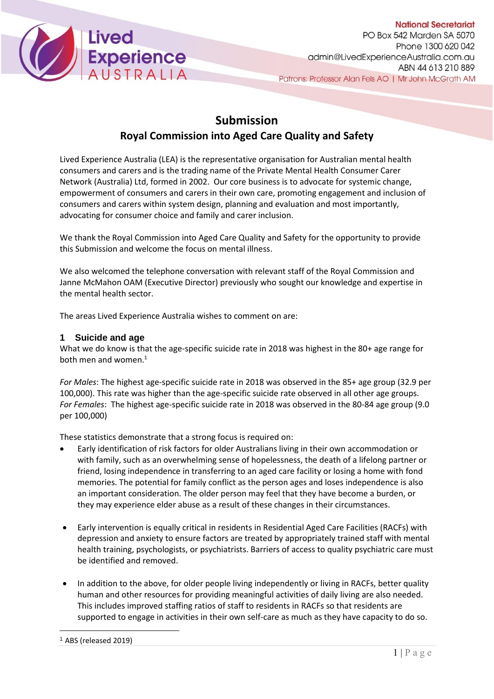

# **Submission**

## **Royal Commission into Aged Care Quality and Safety**

Lived Experience Australia (LEA) is the representative organisation for Australian mental health consumers and carers and is the trading name of the Private Mental Health Consumer Carer Network (Australia) Ltd, formed in 2002. Our core business is to advocate for systemic change, empowerment of consumers and carers in their own care, promoting engagement and inclusion of consumers and carers within system design, planning and evaluation and most importantly, advocating for consumer choice and family and carer inclusion.

We thank the Royal Commission into Aged Care Quality and Safety for the opportunity to provide this Submission and welcome the focus on mental illness.

We also welcomed the telephone conversation with relevant staff of the Royal Commission and Janne McMahon OAM (Executive Director) previously who sought our knowledge and expertise in the mental health sector.

The areas Lived Experience Australia wishes to comment on are:

## **1 Suicide and age**

What we do know is that the age-specific suicide rate in 2018 was highest in the 80+ age range for both men and women.<sup>1</sup>

*For Males*: The highest age-specific suicide rate in 2018 was observed in the 85+ age group (32.9 per 100,000). This rate was higher than the age-specific suicide rate observed in all other age groups. *For Females*: The highest age-specific suicide rate in 2018 was observed in the 80-84 age group (9.0 per 100,000)

These statistics demonstrate that a strong focus is required on:

- Early identification of risk factors for older Australians living in their own accommodation or with family, such as an overwhelming sense of hopelessness, the death of a lifelong partner or friend, losing independence in transferring to an aged care facility or losing a home with fond memories. The potential for family conflict as the person ages and loses independence is also an important consideration. The older person may feel that they have become a burden, or they may experience elder abuse as a result of these changes in their circumstances.
- Early intervention is equally critical in residents in Residential Aged Care Facilities (RACFs) with depression and anxiety to ensure factors are treated by appropriately trained staff with mental health training, psychologists, or psychiatrists. Barriers of access to quality psychiatric care must be identified and removed.
- In addition to the above, for older people living independently or living in RACFs, better quality human and other resources for providing meaningful activities of daily living are also needed. This includes improved staffing ratios of staff to residents in RACFs so that residents are supported to engage in activities in their own self-care as much as they have capacity to do so.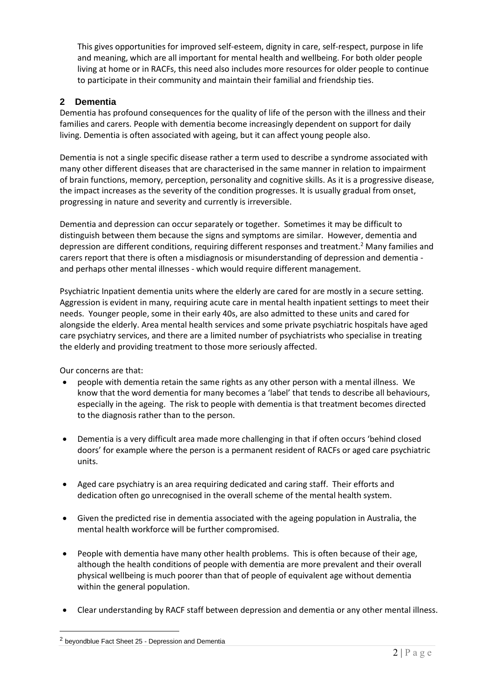This gives opportunities for improved self-esteem, dignity in care, self-respect, purpose in life and meaning, which are all important for mental health and wellbeing. For both older people living at home or in RACFs, this need also includes more resources for older people to continue to participate in their community and maintain their familial and friendship ties.

## **2 Dementia**

Dementia has profound consequences for the quality of life of the person with the illness and their families and carers. People with dementia become increasingly dependent on support for daily living. Dementia is often associated with ageing, but it can affect young people also.

Dementia is not a single specific disease rather a term used to describe a syndrome associated with many other different diseases that are characterised in the same manner in relation to impairment of brain functions, memory, perception, personality and cognitive skills. As it is a progressive disease, the impact increases as the severity of the condition progresses. It is usually gradual from onset, progressing in nature and severity and currently is irreversible.

Dementia and depression can occur separately or together. Sometimes it may be difficult to distinguish between them because the signs and symptoms are similar. However, dementia and depression are different conditions, requiring different responses and treatment.<sup>2</sup> Many families and carers report that there is often a misdiagnosis or misunderstanding of depression and dementia and perhaps other mental illnesses - which would require different management.

Psychiatric Inpatient dementia units where the elderly are cared for are mostly in a secure setting. Aggression is evident in many, requiring acute care in mental health inpatient settings to meet their needs. Younger people, some in their early 40s, are also admitted to these units and cared for alongside the elderly. Area mental health services and some private psychiatric hospitals have aged care psychiatry services, and there are a limited number of psychiatrists who specialise in treating the elderly and providing treatment to those more seriously affected.

Our concerns are that:

- people with dementia retain the same rights as any other person with a mental illness. We know that the word dementia for many becomes a 'label' that tends to describe all behaviours, especially in the ageing. The risk to people with dementia is that treatment becomes directed to the diagnosis rather than to the person.
- Dementia is a very difficult area made more challenging in that if often occurs 'behind closed doors' for example where the person is a permanent resident of RACFs or aged care psychiatric units.
- Aged care psychiatry is an area requiring dedicated and caring staff. Their efforts and dedication often go unrecognised in the overall scheme of the mental health system.
- Given the predicted rise in dementia associated with the ageing population in Australia, the mental health workforce will be further compromised.
- People with dementia have many other health problems. This is often because of their age, although the health conditions of people with dementia are more prevalent and their overall physical wellbeing is much poorer than that of people of equivalent age without dementia within the general population.
- Clear understanding by RACF staff between depression and dementia or any other mental illness.

<sup>2</sup> beyondblue Fact Sheet 25 - Depression and Dementia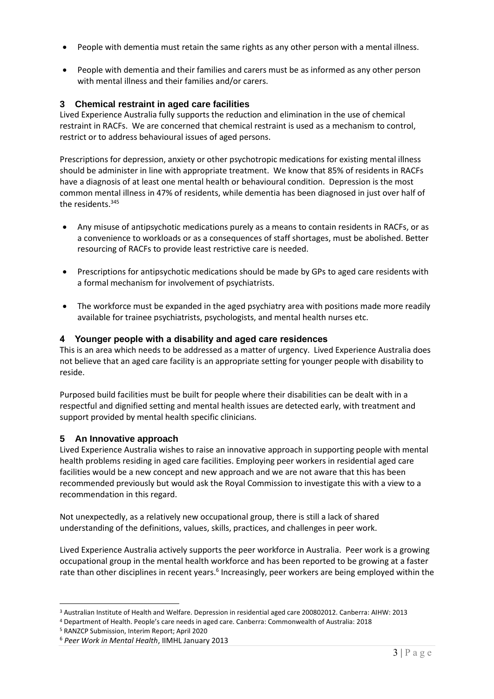- People with dementia must retain the same rights as any other person with a mental illness.
- People with dementia and their families and carers must be as informed as any other person with mental illness and their families and/or carers.

## **3 Chemical restraint in aged care facilities**

Lived Experience Australia fully supports the reduction and elimination in the use of chemical restraint in RACFs. We are concerned that chemical restraint is used as a mechanism to control, restrict or to address behavioural issues of aged persons.

Prescriptions for depression, anxiety or other psychotropic medications for existing mental illness should be administer in line with appropriate treatment. We know that 85% of residents in RACFs have a diagnosis of at least one mental health or behavioural condition. Depression is the most common mental illness in 47% of residents, while dementia has been diagnosed in just over half of the residents  $345$ 

- Any misuse of antipsychotic medications purely as a means to contain residents in RACFs, or as a convenience to workloads or as a consequences of staff shortages, must be abolished. Better resourcing of RACFs to provide least restrictive care is needed.
- Prescriptions for antipsychotic medications should be made by GPs to aged care residents with a formal mechanism for involvement of psychiatrists.
- The workforce must be expanded in the aged psychiatry area with positions made more readily available for trainee psychiatrists, psychologists, and mental health nurses etc.

## **4 Younger people with a disability and aged care residences**

This is an area which needs to be addressed as a matter of urgency. Lived Experience Australia does not believe that an aged care facility is an appropriate setting for younger people with disability to reside.

Purposed build facilities must be built for people where their disabilities can be dealt with in a respectful and dignified setting and mental health issues are detected early, with treatment and support provided by mental health specific clinicians.

## **5 An Innovative approach**

Lived Experience Australia wishes to raise an innovative approach in supporting people with mental health problems residing in aged care facilities. Employing peer workers in residential aged care facilities would be a new concept and new approach and we are not aware that this has been recommended previously but would ask the Royal Commission to investigate this with a view to a recommendation in this regard.

Not unexpectedly, as a relatively new occupational group, there is still a lack of shared understanding of the definitions, values, skills, practices, and challenges in peer work.

Lived Experience Australia actively supports the peer workforce in Australia. Peer work is a growing occupational group in the mental health workforce and has been reported to be growing at a faster rate than other disciplines in recent years.<sup>6</sup> Increasingly, peer workers are being employed within the

<sup>4</sup> Department of Health. People's care needs in aged care. Canberra: Commonwealth of Australia: 2018

<sup>3</sup> Australian Institute of Health and Welfare. Depression in residential aged care 200802012. Canberra: AIHW: 2013

<sup>5</sup> RANZCP Submission, Interim Report; April 2020

<sup>6</sup> *Peer Work in Mental Health*, IIMHL January 2013